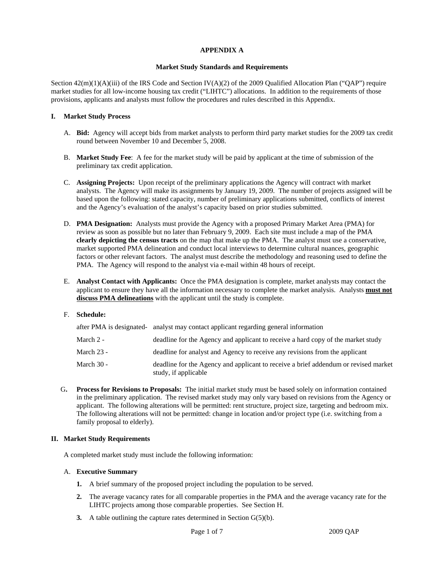# **APPENDIX A**

#### **Market Study Standards and Requirements**

Section  $42(m)(1)(A)(iii)$  of the IRS Code and Section IV(A)(2) of the 2009 Qualified Allocation Plan ("QAP") require market studies for all low-income housing tax credit ("LIHTC") allocations. In addition to the requirements of those provisions, applicants and analysts must follow the procedures and rules described in this Appendix.

#### **I. Market Study Process**

- A. **Bid:** Agency will accept bids from market analysts to perform third party market studies for the 2009 tax credit round between November 10 and December 5, 2008.
- B. **Market Study Fee**: A fee for the market study will be paid by applicant at the time of submission of the preliminary tax credit application.
- C. **Assigning Projects:** Upon receipt of the preliminary applications the Agency will contract with market analysts. The Agency will make its assignments by January 19, 2009. The number of projects assigned will be based upon the following: stated capacity, number of preliminary applications submitted, conflicts of interest and the Agency's evaluation of the analyst's capacity based on prior studies submitted.
- D. **PMA Designation:** Analysts must provide the Agency with a proposed Primary Market Area (PMA) for review as soon as possible but no later than February 9, 2009. Each site must include a map of the PMA **clearly depicting the census tracts** on the map that make up the PMA. The analyst must use a conservative, market supported PMA delineation and conduct local interviews to determine cultural nuances, geographic factors or other relevant factors. The analyst must describe the methodology and reasoning used to define the PMA. The Agency will respond to the analyst via e-mail within 48 hours of receipt.
- E. **Analyst Contact with Applicants:** Once the PMA designation is complete, market analysts may contact the applicant to ensure they have all the information necessary to complete the market analysis. Analysts **must not discuss PMA delineations** with the applicant until the study is complete.

# F. **Schedule:**

|            | after PMA is designated- analyst may contact applicant regarding general information                        |
|------------|-------------------------------------------------------------------------------------------------------------|
| March 2 -  | deadline for the Agency and applicant to receive a hard copy of the market study                            |
| March 23 - | deadline for analyst and Agency to receive any revisions from the applicant                                 |
| March 30 - | deadline for the Agency and applicant to receive a brief addendum or revised market<br>study, if applicable |

G**. Process for Revisions to Proposals:** The initial market study must be based solely on information contained in the preliminary application. The revised market study may only vary based on revisions from the Agency or applicant. The following alterations will be permitted: rent structure, project size, targeting and bedroom mix. The following alterations will not be permitted: change in location and/or project type (i.e. switching from a family proposal to elderly).

# **II. Market Study Requirements**

A completed market study must include the following information:

# A. **Executive Summary**

- **1.** A brief summary of the proposed project including the population to be served.
- **2.** The average vacancy rates for all comparable properties in the PMA and the average vacancy rate for the LIHTC projects among those comparable properties. See Section H.
- **3.** A table outlining the capture rates determined in Section G(5)(b).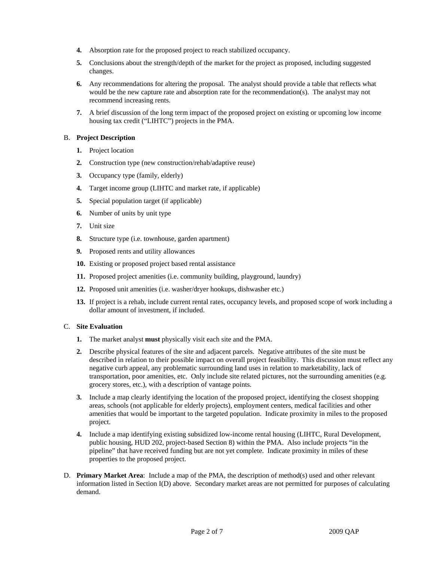- **4.** Absorption rate for the proposed project to reach stabilized occupancy.
- **5.** Conclusions about the strength/depth of the market for the project as proposed, including suggested changes.
- **6.** Any recommendations for altering the proposal. The analyst should provide a table that reflects what would be the new capture rate and absorption rate for the recommendation(s). The analyst may not recommend increasing rents.
- **7.** A brief discussion of the long term impact of the proposed project on existing or upcoming low income housing tax credit ("LIHTC") projects in the PMA.

#### B. **Project Description**

- **1.** Project location
- **2.** Construction type (new construction/rehab/adaptive reuse)
- **3.** Occupancy type (family, elderly)
- **4.** Target income group (LIHTC and market rate, if applicable)
- **5.** Special population target (if applicable)
- **6.** Number of units by unit type
- **7.** Unit size
- **8.** Structure type (i.e. townhouse, garden apartment)
- **9.** Proposed rents and utility allowances
- **10.** Existing or proposed project based rental assistance
- **11.** Proposed project amenities (i.e. community building, playground, laundry)
- **12.** Proposed unit amenities (i.e. washer/dryer hookups, dishwasher etc.)
- **13.** If project is a rehab, include current rental rates, occupancy levels, and proposed scope of work including a dollar amount of investment, if included.

# C. **Site Evaluation**

- **1.** The market analyst **must** physically visit each site and the PMA.
- **2.** Describe physical features of the site and adjacent parcels. Negative attributes of the site must be described in relation to their possible impact on overall project feasibility. This discussion must reflect any negative curb appeal, any problematic surrounding land uses in relation to marketability, lack of transportation, poor amenities, etc. Only include site related pictures, not the surrounding amenities (e.g. grocery stores, etc.), with a description of vantage points.
- **3.** Include a map clearly identifying the location of the proposed project, identifying the closest shopping areas, schools (not applicable for elderly projects), employment centers, medical facilities and other amenities that would be important to the targeted population. Indicate proximity in miles to the proposed project.
- **4.** Include a map identifying existing subsidized low-income rental housing (LIHTC, Rural Development, public housing, HUD 202, project-based Section 8) within the PMA. Also include projects "in the pipeline" that have received funding but are not yet complete. Indicate proximity in miles of these properties to the proposed project.
- D. **Primary Market Area**: Include a map of the PMA, the description of method(s) used and other relevant information listed in Section I(D) above. Secondary market areas are not permitted for purposes of calculating demand.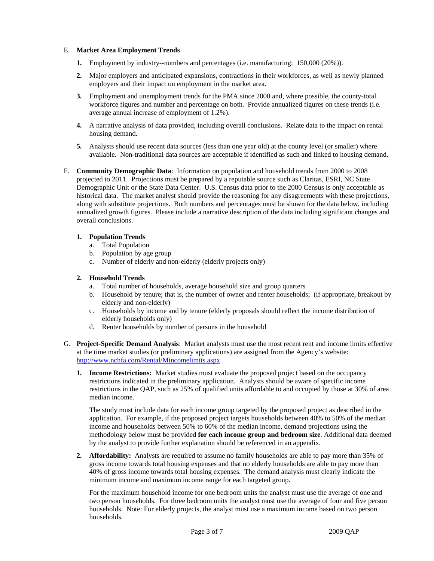# E. **Market Area Employment Trends**

- **1.** Employment by industry--numbers and percentages (i.e. manufacturing: 150,000 (20%)).
- **2.** Major employers and anticipated expansions, contractions in their workforces, as well as newly planned employers and their impact on employment in the market area.
- **3.** Employment and unemployment trends for the PMA since 2000 and, where possible, the county-total workforce figures and number and percentage on both. Provide annualized figures on these trends (i.e. average annual increase of employment of 1.2%).
- **4.** A narrative analysis of data provided, including overall conclusions. Relate data to the impact on rental housing demand.
- **5.** Analysts should use recent data sources (less than one year old) at the county level (or smaller) where available. Non-traditional data sources are acceptable if identified as such and linked to housing demand.
- F. **Community Demographic Data**: Information on population and household trends from 2000 to 2008 projected to 2011. Projections must be prepared by a reputable source such as Claritas, ESRI, NC State Demographic Unit or the State Data Center. U.S. Census data prior to the 2000 Census is only acceptable as historical data. The market analyst should provide the reasoning for any disagreements with these projections, along with substitute projections. Both numbers and percentages must be shown for the data below, including annualized growth figures. Please include a narrative description of the data including significant changes and overall conclusions.

# **1. Population Trends**

- a. Total Population
- b. Population by age group
- c. Number of elderly and non-elderly (elderly projects only)

# **2. Household Trends**

- a. Total number of households, average household size and group quarters
- b. Household by tenure; that is, the number of owner and renter households; (if appropriate, breakout by elderly and non-elderly)
- c. Households by income and by tenure (elderly proposals should reflect the income distribution of elderly households only)
- d. Renter households by number of persons in the household
- G. **Project-Specific Demand Analysis**: Market analysts must use the most recent rent and income limits effective at the time market studies (or preliminary applications) are assigned from the Agency's website: http://www.nchfa.com/Rental/Mincomelimits.aspx
	- **1. Income Restrictions:** Market studies must evaluate the proposed project based on the occupancy restrictions indicated in the preliminary application. Analysts should be aware of specific income restrictions in the QAP, such as 25% of qualified units affordable to and occupied by those at 30% of area median income.

The study must include data for each income group targeted by the proposed project as described in the application. For example, if the proposed project targets households between 40% to 50% of the median income and households between 50% to 60% of the median income, demand projections using the methodology below must be provided **for each income group and bedroom size**. Additional data deemed by the analyst to provide further explanation should be referenced in an appendix.

**2. Affordability:** Analysts are required to assume no family households are able to pay more than 35% of gross income towards total housing expenses and that no elderly households are able to pay more than 40% of gross income towards total housing expenses. The demand analysis must clearly indicate the minimum income and maximum income range for each targeted group.

For the maximum household income for one bedroom units the analyst must use the average of one and two person households. For three bedroom units the analyst must use the average of four and five person households. Note: For elderly projects, the analyst must use a maximum income based on two person households.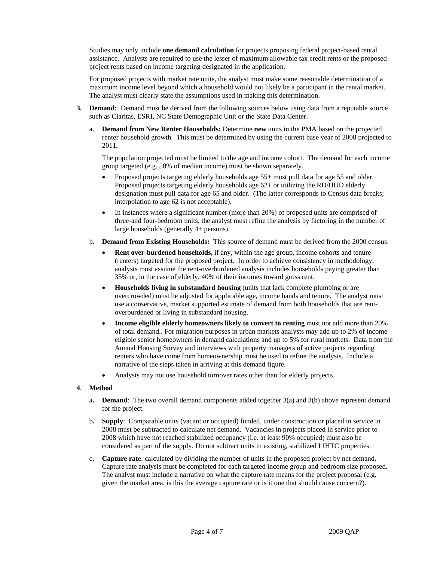Studies may only include **one demand calculation** for projects proposing federal project-based rental assistance. Analysts are required to use the lesser of maximum allowable tax credit rents or the proposed project rents based on income targeting designated in the application.

For proposed projects with market rate units, the analyst must make some reasonable determination of a maximum income level beyond which a household would not likely be a participant in the rental market. The analyst must clearly state the assumptions used in making this determination.

- **3. Demand:** Demand must be derived from the following sources below using data from a reputable source such as Claritas, ESRI, NC State Demographic Unit or the State Data Center.
	- a. **Demand from New Renter Households:** Determine **new** units in the PMA based on the projected renter household growth. This must be determined by using the current base year of 2008 projected to 2011**.**

The population projected must be limited to the age and income cohort.The demand for each income group targeted (e.g. 50% of median income) must be shown separately.

- Proposed projects targeting elderly households age 55+ must pull data for age 55 and older. Proposed projects targeting elderly households age 62+ or utilizing the RD/HUD elderly designation must pull data for age 65 and older. (The latter corresponds to Census data breaks; interpolation to age 62 is not acceptable).
- In instances where a significant number (more than 20%) of proposed units are comprised of three-and four-bedroom units, the analyst must refine the analysis by factoring in the number of large households (generally 4+ persons).
- b. **Demand from Existing Households:** This source of demand must be derived from the 2000 census.
	- **Rent over-burdened households,** if any, within the age group, income cohorts and tenure (renters) targeted for the proposed project. In order to achieve consistency in methodology, analysts must assume the rent-overburdened analysis includes households paying greater than 35% or, in the case of elderly, 40% of their incomes toward gross rent.
	- **Households living in substandard housing** (units that lack complete plumbing or are overcrowded) must be adjusted for applicable age, income bands and tenure. The analyst must use a conservative, market supported estimate of demand from both households that are rentoverburdened or living in substandard housing.
	- **Income eligible elderly homeowners likely to convert to renting** must not add more than 20% of total demand.. For migration purposes in urban markets analysts may add up to 2% of income eligible senior homeowners in demand calculations and up to 5% for rural markets. Data from the Annual Housing Survey and interviews with property managers of active projects regarding renters who have come from homeownership must be used to refine the analysis. Include a narrative of the steps taken in arriving at this demand figure.
	- Analysts may not use household turnover rates other than for elderly projects.

# **4**. **Method**

- a**. Demand**: The two overall demand components added together 3(a) and 3(b) above represent demand for the project.
- b**. Supply**: Comparable units (vacant or occupied) funded, under construction or placed in service in 2008 must be subtracted to calculate net demand. Vacancies in projects placed in service prior to 2008 which have not reached stabilized occupancy (i.e. at least 90% occupied) must also be considered as part of the supply. Do not subtract units in existing, stabilized LIHTC properties.
- c**. Capture rate**: calculated by dividing the number of units in the proposed project by net demand. Capture rate analysis must be completed for each targeted income group and bedroom size proposed. The analyst must include a narrative on what the capture rate means for the project proposal (e.g. given the market area, is this the average capture rate or is it one that should cause concern?).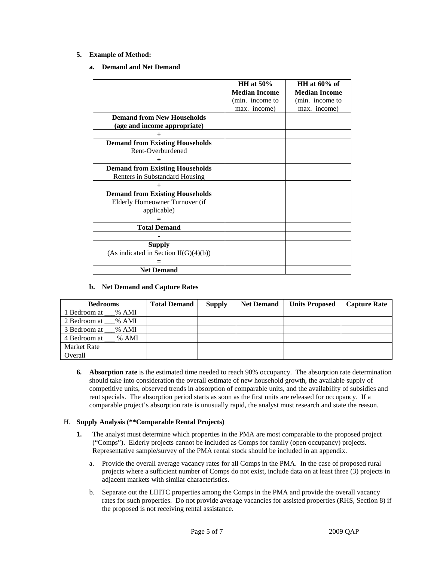# **5. Example of Method:**

# **a. Demand and Net Demand**

|                                                                          | HH at $50\%$         | HH at $60\%$ of      |
|--------------------------------------------------------------------------|----------------------|----------------------|
|                                                                          | <b>Median Income</b> | <b>Median Income</b> |
|                                                                          | (min. income to      | (min. income to      |
|                                                                          | max. income)         | max. income)         |
| <b>Demand from New Households</b>                                        |                      |                      |
| (age and income appropriate)                                             |                      |                      |
|                                                                          |                      |                      |
| <b>Demand from Existing Households</b><br>Rent-Overburdened              |                      |                      |
| $\pm$                                                                    |                      |                      |
| <b>Demand from Existing Households</b><br>Renters in Substandard Housing |                      |                      |
| $\mathrm{+}$                                                             |                      |                      |
| <b>Demand from Existing Households</b>                                   |                      |                      |
| Elderly Homeowner Turnover (if                                           |                      |                      |
| applicable)                                                              |                      |                      |
|                                                                          |                      |                      |
| <b>Total Demand</b>                                                      |                      |                      |
|                                                                          |                      |                      |
| <b>Supply</b><br>(As indicated in Section II(G)(4)(b))                   |                      |                      |
|                                                                          |                      |                      |
| <b>Net Demand</b>                                                        |                      |                      |

# **b. Net Demand and Capture Rates**

| <b>Bedrooms</b>    | <b>Total Demand</b> | <b>Supply</b> | <b>Net Demand</b> | <b>Units Proposed</b> | <b>Capture Rate</b> |
|--------------------|---------------------|---------------|-------------------|-----------------------|---------------------|
| l Bedroom at % AMI |                     |               |                   |                       |                     |
| 2 Bedroom at % AMI |                     |               |                   |                       |                     |
| 3 Bedroom at % AMI |                     |               |                   |                       |                     |
| 4 Bedroom at % AMI |                     |               |                   |                       |                     |
| <b>Market Rate</b> |                     |               |                   |                       |                     |
| Overall            |                     |               |                   |                       |                     |

**6. Absorption rate** is the estimated time needed to reach 90% occupancy. The absorption rate determination should take into consideration the overall estimate of new household growth, the available supply of competitive units, observed trends in absorption of comparable units, and the availability of subsidies and rent specials. The absorption period starts as soon as the first units are released for occupancy. If a comparable project's absorption rate is unusually rapid, the analyst must research and state the reason.

# H. **Supply Analysis (\*\*Comparable Rental Projects)**

- **1.** The analyst must determine which properties in the PMA are most comparable to the proposed project ("Comps"). Elderly projects cannot be included as Comps for family (open occupancy) projects. Representative sample/survey of the PMA rental stock should be included in an appendix.
	- a. Provide the overall average vacancy rates for all Comps in the PMA. In the case of proposed rural projects where a sufficient number of Comps do not exist, include data on at least three (3) projects in adjacent markets with similar characteristics.
	- b. Separate out the LIHTC properties among the Comps in the PMA and provide the overall vacancy rates for such properties. Do not provide average vacancies for assisted properties (RHS, Section 8) if the proposed is not receiving rental assistance.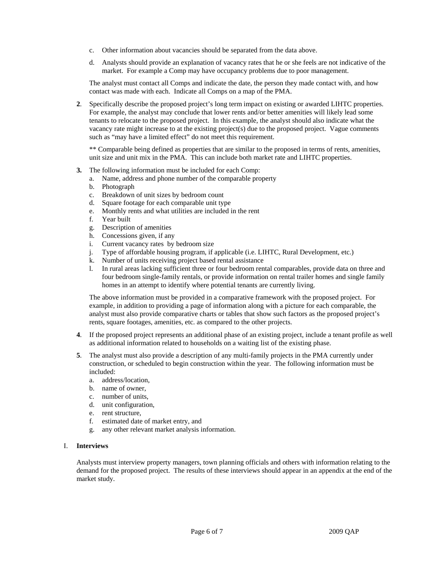- c. Other information about vacancies should be separated from the data above.
- d. Analysts should provide an explanation of vacancy rates that he or she feels are not indicative of the market. For example a Comp may have occupancy problems due to poor management.

The analyst must contact all Comps and indicate the date, the person they made contact with, and how contact was made with each. Indicate all Comps on a map of the PMA.

**2**. Specifically describe the proposed project's long term impact on existing or awarded LIHTC properties. For example, the analyst may conclude that lower rents and/or better amenities will likely lead some tenants to relocate to the proposed project. In this example, the analyst should also indicate what the vacancy rate might increase to at the existing project(s) due to the proposed project. Vague comments such as "may have a limited effect" do not meet this requirement.

 \*\* Comparable being defined as properties that are similar to the proposed in terms of rents, amenities, unit size and unit mix in the PMA. This can include both market rate and LIHTC properties.

- **3.** The following information must be included for each Comp:
	- a. Name, address and phone number of the comparable property
	- b. Photograph
	- c. Breakdown of unit sizes by bedroom count
	- d. Square footage for each comparable unit type
	- e. Monthly rents and what utilities are included in the rent
	- f. Year built
	- g. Description of amenities
	- h. Concessions given, if any
	- i. Current vacancy rates by bedroom size
	- j. Type of affordable housing program, if applicable (i.e. LIHTC, Rural Development, etc.)
	- k. Number of units receiving project based rental assistance
	- l. In rural areas lacking sufficient three or four bedroom rental comparables, provide data on three and four bedroom single-family rentals, or provide information on rental trailer homes and single family homes in an attempt to identify where potential tenants are currently living.

The above information must be provided in a comparative framework with the proposed project. For example, in addition to providing a page of information along with a picture for each comparable, the analyst must also provide comparative charts or tables that show such factors as the proposed project's rents, square footages, amenities, etc. as compared to the other projects.

- **4**. If the proposed project represents an additional phase of an existing project, include a tenant profile as well as additional information related to households on a waiting list of the existing phase.
- **5**. The analyst must also provide a description of any multi-family projects in the PMA currently under construction, or scheduled to begin construction within the year. The following information must be included:
	- a. address/location,
	- b. name of owner,
	- c. number of units,
	- d. unit configuration,
	- e. rent structure,
	- f. estimated date of market entry, and
	- g. any other relevant market analysis information.

#### I. **Interviews**

Analysts must interview property managers, town planning officials and others with information relating to the demand for the proposed project. The results of these interviews should appear in an appendix at the end of the market study.